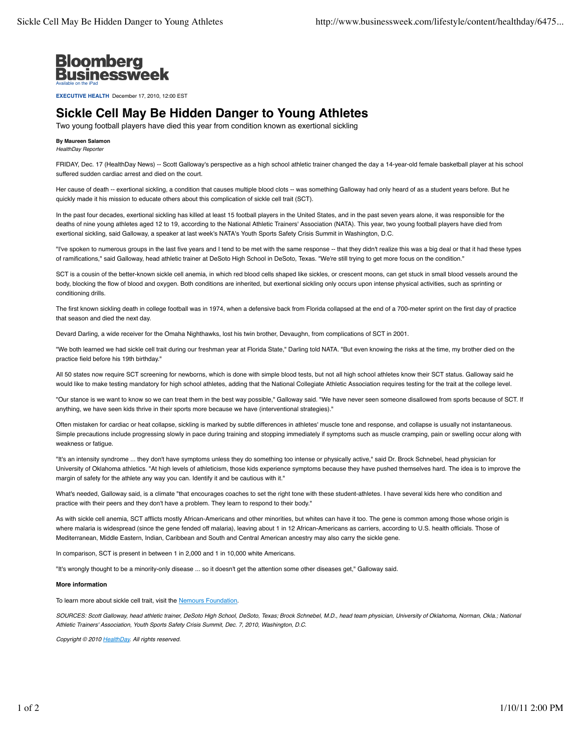

**EXECUTIVE HEALTH** December 17, 2010, 12:00 EST

## **Sickle Cell May Be Hidden Danger to Young Athletes**

Two young football players have died this year from condition known as exertional sickling

**By Maureen Salamon** *HealthDay Reporter*

FRIDAY, Dec. 17 (HealthDay News) -- Scott Galloway's perspective as a high school athletic trainer changed the day a 14-year-old female basketball player at his school suffered sudden cardiac arrest and died on the court.

Her cause of death -- exertional sickling, a condition that causes multiple blood clots -- was something Galloway had only heard of as a student years before. But he quickly made it his mission to educate others about this complication of sickle cell trait (SCT).

In the past four decades, exertional sickling has killed at least 15 football players in the United States, and in the past seven years alone, it was responsible for the deaths of nine young athletes aged 12 to 19, according to the National Athletic Trainers' Association (NATA). This year, two young football players have died from exertional sickling, said Galloway, a speaker at last week's NATA's Youth Sports Safety Crisis Summit in Washington, D.C.

"I've spoken to numerous groups in the last five years and I tend to be met with the same response -- that they didn't realize this was a big deal or that it had these types of ramifications," said Galloway, head athletic trainer at DeSoto High School in DeSoto, Texas. "We're still trying to get more focus on the condition."

SCT is a cousin of the better-known sickle cell anemia, in which red blood cells shaped like sickles, or crescent moons, can get stuck in small blood vessels around the body, blocking the flow of blood and oxygen. Both conditions are inherited, but exertional sickling only occurs upon intense physical activities, such as sprinting or conditioning drills.

The first known sickling death in college football was in 1974, when a defensive back from Florida collapsed at the end of a 700-meter sprint on the first day of practice that season and died the next day.

Devard Darling, a wide receiver for the Omaha Nighthawks, lost his twin brother, Devaughn, from complications of SCT in 2001.

"We both learned we had sickle cell trait during our freshman year at Florida State," Darling told NATA. "But even knowing the risks at the time, my brother died on the practice field before his 19th birthday."

All 50 states now require SCT screening for newborns, which is done with simple blood tests, but not all high school athletes know their SCT status. Galloway said he would like to make testing mandatory for high school athletes, adding that the National Collegiate Athletic Association requires testing for the trait at the college level.

"Our stance is we want to know so we can treat them in the best way possible," Galloway said. "We have never seen someone disallowed from sports because of SCT. If anything, we have seen kids thrive in their sports more because we have (interventional strategies)."

Often mistaken for cardiac or heat collapse, sickling is marked by subtle differences in athletes' muscle tone and response, and collapse is usually not instantaneous. Simple precautions include progressing slowly in pace during training and stopping immediately if symptoms such as muscle cramping, pain or swelling occur along with weakness or fatique

"It's an intensity syndrome ... they don't have symptoms unless they do something too intense or physically active," said Dr. Brock Schnebel, head physician for University of Oklahoma athletics. "At high levels of athleticism, those kids experience symptoms because they have pushed themselves hard. The idea is to improve the margin of safety for the athlete any way you can. Identify it and be cautious with it."

What's needed, Galloway said, is a climate "that encourages coaches to set the right tone with these student-athletes. I have several kids here who condition and practice with their peers and they don't have a problem. They learn to respond to their body."

As with sickle cell anemia, SCT afflicts mostly African-Americans and other minorities, but whites can have it too. The gene is common among those whose origin is where malaria is widespread (since the gene fended off malaria), leaving about 1 in 12 African-Americans as carriers, according to U.S. health officials. Those of Mediterranean, Middle Eastern, Indian, Caribbean and South and Central American ancestry may also carry the sickle gene.

In comparison, SCT is present in between 1 in 2,000 and 1 in 10,000 white Americans.

"It's wrongly thought to be a minority-only disease ... so it doesn't get the attention some other diseases get," Galloway said.

## **More information**

To learn more about sickle cell trait, visit the Nemours Foundation.

*SOURCES: Scott Galloway, head athletic trainer, DeSoto High School, DeSoto, Texas; Brock Schnebel, M.D., head team physician, University of Oklahoma, Norman, Okla.; National Athletic Trainers' Association, Youth Sports Safety Crisis Summit, Dec. 7, 2010, Washington, D.C.*

*Copyright © 2010 HealthDay. All rights reserved.*